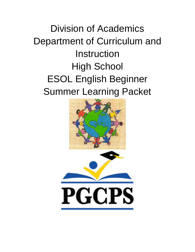# Division of Academics Department of Curriculum and **Instruction** High School ESOL English Beginner Summer Learning Packet

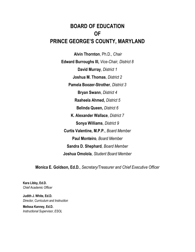# **BOARD OF EDUCATION OF PRINCE GEORGE'S COUNTY, MARYLAND**

**Alvin Thornton**, Ph.D., *Chair* **Edward Burroughs III,** *Vice-Chair, District 8* **David Murray**, *District 1* **Joshua M. Thomas**, *District 2* **Pamela Boozer-Strother**, *District 3* **Bryan Swann**, *District 4* **Raaheela Ahmed,** *District 5* **Belinda Queen,** *District 6* **K. Alexander Wallace**, *District 7* **Sonya Williams**, *District 9* **Curtis Valentine, M.P.P.**, *Board Member* **Paul Monteiro***, Board Member* **Sandra D. Shephard***, Board Member* **Joshua Omolola**, *Student Board Member*

**Monica E. Goldson, Ed.D.**, *Secretary/Treasurer and Chief Executive Officer*

**Kara Libby, Ed.D.** *Chief Academic Officer*

**Judith J. White, Ed.D.** *Director, Curriculum and Instruction*

**Melissa Kanney, Ed.D.** *Instructional Supervisor, ESOL*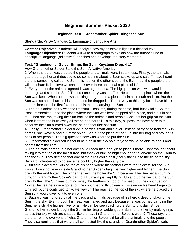# **Beginner Summer Packet 2020**

# **Beginner ESOL -Grandmother Spider Brings the Sun**

#### **Standards:** WIDA Standard 2: Language of Language Arts

**Content Objectives:** Students will analyze how myths explain light in a fictional text. **Language Objectives:** Students will write a paragraph to explain how the author's use of descriptive language (adjectives) enriches and develops the story elements.

# **Text: "Grandmother Spider Brings the Sun" Keystone D pp. 4-17**

How Grandmother Spider Stole the Sun: A Native American

1. When the earth was created the people and animals were in darkness. Finally, the animals gathered together and decided to do something about it. Bear spoke up and said, "I have heard there is something called the Sun. It is kept on the other side of the Earth, but the people there will not share it. I believe we can sneak over there and steal a piece of it."

2. Every one of the animals agreed it was a good idea. The big question was who would be the one to go and steal the Sun? The first one to try was the Fox. He crept to the place where the Sun was kept. When no one was looking, he grabbed a piece of it in his mouth and ran. But the Sun was so hot, it burned his mouth and he dropped it. That is why to this day foxes have black mouths because the first fox burned his mouth carrying the Sun.

3. The next animal to try was the Possum. Possums, during that time, had bushy tails. So, the Possum sneaked up to the place where the Sun was kept, snipped off a piece, and hid it in her tail. Then she ran, taking the Sun back to the animals and people. She lost her grip on the Sun when it started to burn away all the hair on her tail. To this day, all possums have bare tails because the Sun burned away the hair on that first possum.

4. Finally, Grandmother Spider tried. She was smart and clever. Instead of trying to hold the Sun herself, she wove a bag out of webbing. She put the piece of the Sun into her bag and brought it back to her people. The big question now was where to put the Sun.

5. Grandmother Spider felt it should be high in the sky so everyone would be able to see it and benefit from the light.

6. The animals agreed, but not one could reach high enough to place it there. They thought about taking it to the top of the tallest tree, but that wouldn't be high enough for everyone on the Earth to see the Sun. They decided that one of the birds could easily carry the Sun to the tip of the sky. Buzzard volunteered to go since he could fly higher than any bird.

7.Buzzard placed the Sun on top of his head where his feathers were the thickest, for the Sun was still very hot, even inside Grandmother Spider's bag. He flew higher and higher. The Sun grew hotter and hotter. The higher he flew, the hotter the Sun became. The Sun began burning through Grandmother Spider's bag, but Buzzard just kept flying. Up and up he went and the Sun grew hotter. The Sun was burning away the feathers on top of his head, but he continued on. Now all his feathers were gone, but he continued to fly upwards. His skin on his head began to turn red, but he continued to fly. He flew until he reached the top of the sky where he placed the Sun so it would give light to everyone.

8. Buzzard was honored by all the birds and animals because of his heroic deed of placing the Sun in the sky. Even though his head was naked and ugly because he was burned carrying the Sun, he is still the highest flyer of all. He can be seen circling the Sun to this day. Since Grandmother Spider brought the Sun in her bag of webbing, the Sun honors her by making rays across the sky which are shaped like the rays in Grandmother Spider's web. 9. These rays are there to remind everyone of what Grandmother Spider did for all the animals and the people. They also remind us that we are all connected like the strands of Grandmother Spider's web.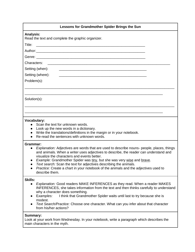| Lessons for Grandmother Spider Brings the Sun                                                                                                                                                                                                                                                                                                                                                                                                                   |
|-----------------------------------------------------------------------------------------------------------------------------------------------------------------------------------------------------------------------------------------------------------------------------------------------------------------------------------------------------------------------------------------------------------------------------------------------------------------|
| <b>Analysis:</b><br>Read the text and complete the graphic organizer.                                                                                                                                                                                                                                                                                                                                                                                           |
| Title:<br><u> 1980 - Andrea Andrew Maria (h. 1980).</u>                                                                                                                                                                                                                                                                                                                                                                                                         |
|                                                                                                                                                                                                                                                                                                                                                                                                                                                                 |
|                                                                                                                                                                                                                                                                                                                                                                                                                                                                 |
| Characters:<br><u> 1989 - Johann John Stone, market fan de Fryske kun fan de Fryske kun fan de Fryske kun fan de Fryske kun fan</u>                                                                                                                                                                                                                                                                                                                             |
| Setting (when):                                                                                                                                                                                                                                                                                                                                                                                                                                                 |
| Setting (where):                                                                                                                                                                                                                                                                                                                                                                                                                                                |
| Problem(s):                                                                                                                                                                                                                                                                                                                                                                                                                                                     |
|                                                                                                                                                                                                                                                                                                                                                                                                                                                                 |
| Solution(s):                                                                                                                                                                                                                                                                                                                                                                                                                                                    |
|                                                                                                                                                                                                                                                                                                                                                                                                                                                                 |
| <b>Vocabulary:</b><br>Scan the text for unknown words.<br>$\bullet$<br>Look up the new words in a dictionary.<br>$\bullet$<br>Write the translations/definitions in the margin or in your notebook.<br>Re-read the sentences with unknown words.<br>Grammar:<br>Explanation: Adjectives are words that are used to describe nouns- people, places, things<br>$\bullet$<br>and animals. When a writer uses adjectives to describe, the reader can understand and |
| visualize the characters and events better.<br>Example: Grandmother Spider was tiny, but she was very wise and brave.<br>Text search: Scan the text for adjectives describing the animals.<br>Practice: Create a chart in your notebook of the animals and the adjectives used to<br>describe them.                                                                                                                                                             |
| <b>Skills:</b><br>Explanation: Good readers MAKE INFERENCES as they read. When a reader MAKES<br>$\bullet$<br>INFERENCES, she takes information from the text and then thinks carefully to understand<br>why a character does something.<br>I think that Grandmother Spider waits until last to try because she is<br>Examples:<br>modest.<br>Text Search/Practice: Choose one character. What can you infer about that character<br>from his/her actions?      |
| Summary:<br>Look at your work from Wednesday. In your notebook, write a paragraph which describes the<br>main characters in the myth.                                                                                                                                                                                                                                                                                                                           |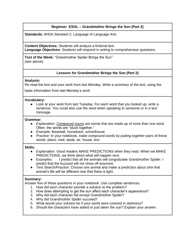# **Beginner ESOL – Grandmother Brings the Son (Part 2)**

**Standards:** WIDA Standard 2: Language of Language Arts

**Content Objectives:** Students will analyze a fictional text. **Language Objectives:** Students will respond in writing to comprehension questions.

**Text of the Week:** "Grandmother Spider Brings the Sun" (see above)

# **Lessons for Grandmother Brings the Son (Part 2)**

#### **Analysis:**

Re-read the text and your work from last Monday. Write a summary of the text, using the

basic information from last Monday's work.

#### **Vocabulary:**

● Look at your work from last Tuesday. For each word that you looked up, write a sentence. You could also use the word when speaking to someone or in a text message.

#### **Grammar:**

- *Explanation:* Compound nouns are words that are made up of more than one word. Often, the words are "stuck together."
- *Example:* Baseball, horseback, schoolhouse
- *Practice:* In your notebook, make compound words by putting together pairs of these words: plane, mail, steak, air, house, box

#### **Skills:**

- *Explanation:* Good readers MAKE PREDICTIONS when they read. When we MAKE PREDICTIONS, we think about what will happen next.
- E*xamples:* I predict that all the animals will congratulate Grandmother Spider. I predict that the buzzard will not show off anymore.
- *Text Search/Practice:* Choose one animal and make a prediction about ohw that animal's life will be different now that there is light.

#### **Summary:**

Answer five of these questions in your notebook. Use complete sentences.

- 1. How did each character provide a solution to the problem?
- 2. How does attempting to get the sun affect each character's appearance?
- 3. Why did each character fail except Grandmother Spider?
- 4. Why did Grandmother Spider succeed?
- 5. What would your solution be if your world were covered in darkness?
- 6. Should the characters have asked or just taken the sun? Explain your answer.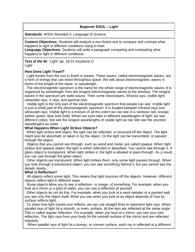# **Beginner ESOL – Light**

**Standards:** WIDA Standard 4: Language of Science

**Content Objectives:** Students will analyze a non-fiction text to compare and contrast what happens to light in different conditions using a chart.

**Language Objectives:** Students will write a paragraph comparing and contrasting what happens to light in different conditions.

**Text of the W:** "Light" pp. 18-31 Keystone D **Light** 

# **How Does Light Travel?**

 Light travels from the sun to Earth in waves. These waves, called electromagnetic waves, are a form of energy that can travel throughout space. We talk about electromagnetic waves in terms of the length of the wave, or wavelength.

 The electromagnetic spectrum is the name for the whole range of electromagnetic waves. It is organized by wavelength, from the longest electromagnetic waves to the shortest. The longest waves in the spectrum are radio waves. Then come microwaves, infrared rays, visible light, ultraviolet rays, X rays, and gamma rays.

 Visible light is the only part of the electromagnetic spectrum that people can see. Visible light is just a small part of the electromagnetic spectrum. It is located between infrared rays and ultraviolet rays. Visible light is a mixture of all the colors we can see in a rainbow: red, orange, yellow, green, blue and violet. When our eyes take in different wavelengths of light, we see different colors. We see the longest wavelengths of visible light as red. We see the shortest wavelengths as violet.

# **What Happens When Light Strikes Objects?**

 When light strikes and object, the light can be reflected, or bounced off the object. The light might also be absorbed, or taken in by the object. Or the light can be transmitted, or passed through the object.

 Objects that you cannot see through, such as wood and metal, are called opaque. When light strikes and opaque object, the light is either reflected or absorbed. You cannot see through it. A glass object is transparent. When light strikes it, the light is allowed to pass through. As a result, you can see through the glass object.

 Other objects are translucent. When light strikes them, only some light passes through. When you look through a translucent object, you can see something behind it, but you cannot see the details clearly.

# **What is Reflection?**

 All objects reflect some light. This means that light bounces off the objects. However, different objects reflect light in different ways.

 Some objects allow you to see a reflection- or image- of something. For example, when you look at a mirror or a pool of water, you can see a reflection of yourself.

 Other objects do not do this. For example, when you look at a wool sweater or a painted wall, you see only the object itself. What you see when you look at an object depends of how its surface reflects light.

 To show how light travels and reflects, we can use straight lines to represent light rays. When parallel rays of light hit a smooth, or even, surface, all the rays are reflected at the same angle. This is called regular reflection. For example, when you look at a mirror, you see your own reflection. The light rays from your body hit the smooth surface of the mirror and are reflected regularly.

When parallel rays of light hit a bumpy, or uneven surface, each ray is reflected at a different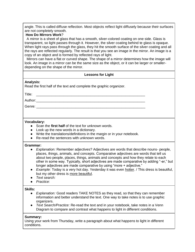angle. This is called diffuse reflection. Most objects reflect light diffusely because their surfaces are not completely smooth.

# **How Do Mirrors Work**?

 A mirror is a sheet of glass that has a smooth, silver-colored coating on one side. Glass is transparent, so light passes through it. However, the silver coating behind te glass is opaque. When light rays pass through the glass, they hit the smooth surface of the silver coating and all the rays are reflected regularly. The result is that you see an image in the mirror. An image is a copy of an object and is formed by reflected rays of light.

 Mirrors can have a flat or curved shape. The shape of a mirror determines how the image will look. An image in a mirror can be the same size as the object, or it can be larger or smallerdepending on the shape of the mirror.

# **Lessons for Light**

# **Analysis:**

Read the first half of the text and complete the graphic organizer.

Title: \_\_\_\_\_\_\_\_\_\_\_\_\_\_\_\_\_\_\_\_\_\_\_\_\_\_\_\_\_\_\_\_\_\_\_\_\_\_\_\_\_\_\_\_\_\_\_\_\_\_\_\_\_\_\_\_

Author:

Genre:

# **Vocabulary:**

- Scan the **first half** of the text for unknown words.
- Look up the new words in a dictionary.
- Write the translations/definitions in the margin or in your notebook.
- Re-read the sentences with unknown words.

# **Grammar:**

- *Explanation:* Remember adjectives? Adjectives are words that describe nouns- people, places, things, animals, and concepts. Comparative adjectives are words that tell us about two people, places, things, animals and concepts and how they relate to each other in some way. Typically, short adjectives are made comparative by adding "-er," but longer adjectives are made comparative by using "more + adjective."
- *Example:* Today is a very hot day. Yesterday it was even hotter. / This dress is beautiful, but my other dress is more beautiful.
- *Text search:*
- *Practice:*

# **Skills:**

- *Explanation:* Good readers TAKE NOTES as they read, so that they can remember information and better understand the text. One way to take notes is to use graphic organizers.
- *Text Search/Practice:* Re-read the text and in your notebook, take notes in a Venn Diagram to compare and contrast what happens to light in different conditions.

# **Summary:**

Using your work from Thursday, write a paragraph about what happens to light in different conditions.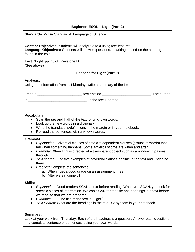| Beginner ESOL - Light (Part 2)                                                                                                                                                                                                                                                                                                                                                                                                                                                                                                                                                            |
|-------------------------------------------------------------------------------------------------------------------------------------------------------------------------------------------------------------------------------------------------------------------------------------------------------------------------------------------------------------------------------------------------------------------------------------------------------------------------------------------------------------------------------------------------------------------------------------------|
| <b>Standards: WIDA Standard 4: Language of Science</b>                                                                                                                                                                                                                                                                                                                                                                                                                                                                                                                                    |
| <b>Content Objectives:</b> Students will analyze a text using text features.<br>Language Objectives: Students will answer questions, in writing, based on the heading<br>found in the text.                                                                                                                                                                                                                                                                                                                                                                                               |
| <b>Text:</b> "Light" pp. 18-31 Keystone D.<br>(See above)                                                                                                                                                                                                                                                                                                                                                                                                                                                                                                                                 |
| <b>Lessons for Light (Part 2)</b>                                                                                                                                                                                                                                                                                                                                                                                                                                                                                                                                                         |
| <b>Analysis:</b><br>Using the information from last Monday, write a summary of the text.                                                                                                                                                                                                                                                                                                                                                                                                                                                                                                  |
| I read a _____________________________text entitled _________________________________. The author                                                                                                                                                                                                                                                                                                                                                                                                                                                                                         |
|                                                                                                                                                                                                                                                                                                                                                                                                                                                                                                                                                                                           |
|                                                                                                                                                                                                                                                                                                                                                                                                                                                                                                                                                                                           |
| <b>Vocabulary:</b><br>Scan the second half of the text for unknown words.<br>$\bullet$<br>Look up the new words in a dictionary.<br>$\bullet$<br>Write the translations/definitions in the margin or in your notebook.<br>$\bullet$<br>Re-read the sentences with unknown words.<br>Grammar:<br>Explanation: Adverbial clauses of time are dependent clauses (groups of words) that<br>$\bullet$<br>tell when something happens. Some adverbs of time are when and after.<br>Example: When light is directed at a transparent object such as a window, it passes<br>$\bullet$<br>through. |
| Text search: Find five examples of adverbial clauses on time in the text and underline<br>them.<br>Practice: Complete the sentences:<br>a. When I get a good grade on an assignment, I feel ________________.<br>b. After we eat dinner, I                                                                                                                                                                                                                                                                                                                                                |
| <b>Skills:</b><br>Explanation: Good readers SCAN a text before reading. When you SCAN, you look for<br>$\bullet$<br>specific pieces of information. We can SCAN for the title and headings in a text before<br>we read so that we are prepared.<br>Examples: The title of the text is "Light."<br>Text Search: What are the headings in the text? Copy them in your notebook.<br>Summary:                                                                                                                                                                                                 |
| Look at your work from Thursday. Each of the headings is a question. Answer each questions<br>in a complete sentence or sentences, using your own words.                                                                                                                                                                                                                                                                                                                                                                                                                                  |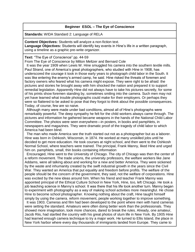# **Beginner ESOL – The Eye of Conscience**

**Standards:** WIDA Standard 2: Language of RELA

**Content Objectives:** Students will analyze a non-fiction text.

**Language Objectives:** Students will identify key events in Hine's life in a written paragraph, using a timeline as a graphic pre-write organizer.

**Text:** "The Eye of Conscience" pp. 44-59

From The Eye of Conscience by Milton Meltzer and Bernard Cole

 It was the year 1909 when Lewis W. Hine smuggled his camera into the southern textile mills. Paul Strand, one of America's great photographers, who studied with Hine in 1908, has underscored the courage it took in those early years to photograph child labor in the South. It was like entering the enemy's armed camp, he said. Hine risked the threats of foremen and factory owners who feared what his camera might expose. They were right to be afraid: the pictures and stories he brought away with him shocked the nation and prepared it to support remedial legislation. Apparently Hine did not always have to take his pictures secretly, for some of his prints show foremen standing by, sometimes smiling into the camera. Such men may not yet have learned what trouble photographs could make for their employers. Or perhaps they were so flattered to be asked to pose that they forgot to think about the possible consequences. Today, of course, few are so naive.

 Although many were made under bad conditions, almost all of Hine's photographs were remarkably powerful. The deep sympathy he felt for the child workers always came through. The pictures and information he gathered became weapons in the hands of the National Child Labor Committee. The photos were seen everywhere—in posters, in books and pamphlets, in newspapers and magazines. They were dramatic proof of the tragedy of child labor to which America had been blind.

 The man who made America see the truth started out not as a photographer but as a laborer. Hine was born in Oshkosh, Wisconsin, in 1874. He worked at many unskilled jobs until he decided to get more education. He took courses at night school, and then went to the Oshkosh Normal School, where teachers were trained. The principal, Frank Manny, liked Hine and urged him on. pamphlets, small, thin books containing information

 Encouraged, Hine went to the University of Chicago. The city of Chicago was then the center of a reform movement. The trade unions, the university professors, the welfare workers like Jane Addams, were all talking about and working for a new and better America. They were sickened by the waste and inhumanity created by the swift industrial growth in the years since the Civil War. They wanted an America that put equality and freedom before profits. The welfare of the people should be the concern of the government, they said, not the welfare of corporations. Hine was excited by the new ideas around him. When his friend and teacher Frank Manny was appointed principal of the Ethical Culture School in New York, Hine, too, left Chicago. He took a job teaching science in Manny's school. It was there that his life took another turn. Manny began to experiment with photography as a way of making school activities more meaningful. He chose Hine to become school photographer. Knowing nothing about the craft, Hine taught himself simply by using the camera. reform movement, people working together to improve something.

 It was 1903. Cameras and film had been developed to the point where men with hand cameras were setting the standard. Amateurs were often doing better work than the professionals. They showed more imagination, took more chances, dared to break the rules. Already, one amateur, Jacob Riis, had startled the country with his great photos of slum life in New York. By 1905 Hine had learned enough camera technique to try a major work. He turned to Ellis Island, the place in New York harbor where every day thousands of immigrants landed from Europe. They came to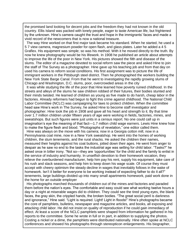the promised land looking for decent jobs and the freedom they had not known in the old country. Ellis Island was packed with lonely people, eager to taste American life, but frightened by the unknown. Hine's camera caught the trust and hope in the immigrants' faces and made a vivid record of the newcomers that is now a national treasure.

 The way Hine worked on that first major task became his standard. When he started, he used a 5 7 view camera, magnesium powder for open flash, and glass plates. Later he added a 4 5 Graflex. His equipment was simple; so was his method. With it he moved directly to the truth. By now he knew photography would be his lifework. In 1908 he published an article about attempts to improve the life of the poor in New York. His pictures showed the filth and disease of the slums. The editor of a magazine devoted to social reform saw the piece and asked Hine to join the staff of The Survey as a photographer. Hine gave up his teaching job and from that day on used his camera to reform social conditions. His first assignment was to picture the life of immigrant workers in the Pittsburgh steel district. Then he photographed the workers building the New York State Barge Canal. From that he went to investigating the rapidly growing slums of Chicago and Washington, D.C. slums, poor, overcrowded areas in the city

 It was while studying the life of the poor that Hine learned how poverty ruined childhood. In the streets and alleys of the slums he saw children robbed of their futures, their bodies stunted and their minds twisted. He learned of children as young as five made to do harsh, cheap labor in the factories. Already reformers had begun to fight this crime against childhood. The National Child Labor Committee (NCLC) was campaigning for laws to protect children. When the committee head saw Hine's work in The Survey, he asked Hine to become staff investigator and photographer. Hine took the job in 1908 and gave all his heart and strength to it. By that time over 1.7 million children under fifteen years of age were working in fields, factories, mines, and sweatshops. But such figures were just units in a census report. No one could call up in imagination's eye the meaning of that fact—1.7 million child wage earners. Lewis Hine knew how to make the figure flesh and blood. "Photographs of revelation," one editor called them.

 Hine was always on the move with his camera; now in a Georgia cotton mill, now in a Pennsylvania coal mine, now in a New York sweatshop. He went into the homes of working children, the slum tenements, and the rural shacks. He asked the children their names, measured their heights against his coat buttons, jotted down their ages. He went from anger to despair as he saw no end to the tasks the industrial age was setting for child labor. "Tasks?" he asked once in bitter irony. "Not so—they are 'opportunities' for the child and the family to enlist in the service of industry and humanity. In unselfish devotion to their homework vocation, they relieve the overburdened manufacturer, help him pay his rent, supply his equipment, take care of his rush and slack seasons, and help him to keep down his wage scale. Of course they must accept with cheery optimism the steady decline in wages that inevitably follows in the wake of homework. Isn't it better for everyone to be working instead of expecting father to do it all?" tenements, large buildings divided up into many small apartments homework, paid work done in the home for an outside employer

 His photographs marched thousands of children out of the mines and factories and paraded them before the nation's eyes. The comfortable and easy could see what working twelve hours a day or a night at miserable wages did to children. They could see the tired young eyes, the blank faces, the gray skin, the crippled hands, the broken bodies. "The great social peril is darkness and ignorance," Hine said. "Light is required. Light! Light in floods!" Hine's photographs became the core of pamphlets, bulletins, newspaper and magazine articles, and books, all exposing and attacking child labor. He did not insist on quality of reproduction if he could gain immediacy of effect. At least a score of the NCLC pamphlets were shaped from information he gathered in his reports to the committee. Some he wrote in full or in part, in addition to supplying the photos. Costing a nickel or a dime, the pamphlets were distributed nationally. Hine often spoke at NCLC conferences and showed his photographs through stereopticon enlargements. His biographer,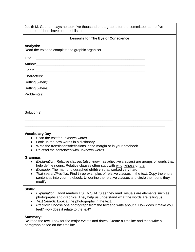| Judith M. Gutman, says he took five thousand photographs for the committee; some five<br>hundred of them have been published.                                                                                                                                                                                                                                                                                                                               |
|-------------------------------------------------------------------------------------------------------------------------------------------------------------------------------------------------------------------------------------------------------------------------------------------------------------------------------------------------------------------------------------------------------------------------------------------------------------|
| <b>Lessons for The Eye of Conscience</b>                                                                                                                                                                                                                                                                                                                                                                                                                    |
| <b>Analysis:</b><br>Read the text and complete the graphic organizer.                                                                                                                                                                                                                                                                                                                                                                                       |
| Title:                                                                                                                                                                                                                                                                                                                                                                                                                                                      |
|                                                                                                                                                                                                                                                                                                                                                                                                                                                             |
|                                                                                                                                                                                                                                                                                                                                                                                                                                                             |
| Characters:                                                                                                                                                                                                                                                                                                                                                                                                                                                 |
| Setting (when):<br><u> 1980 - Johann Stoff, amerikansk politiker (d. 1980)</u>                                                                                                                                                                                                                                                                                                                                                                              |
| Setting (where):                                                                                                                                                                                                                                                                                                                                                                                                                                            |
| Problem(s):                                                                                                                                                                                                                                                                                                                                                                                                                                                 |
|                                                                                                                                                                                                                                                                                                                                                                                                                                                             |
| Solution(s):                                                                                                                                                                                                                                                                                                                                                                                                                                                |
| <b>Vocabulary Day</b><br>Scan the text for unknown words.<br>$\bullet$<br>Look up the new words in a dictionary.<br>$\bullet$<br>Write the translations/definitions in the margin or in your notebook.<br>Re-read the sentences with unknown words.                                                                                                                                                                                                         |
| Grammar:<br><i>Explanation:</i> Relative clauses (also known as adjective clauses) are groups of words that<br>help define nouns. Relative clauses often start with who, whose or that.<br>Example: The man photographed children that worked very hard.<br>Text search/Practice: Find three examples of relative clauses in the text. Copy the entire<br>sentences into your notebook. Underline the relative clauses and circle the nouns they<br>modify. |
| <b>Skills:</b><br>Explanation: Good readers USE VISUALS as they read. Visuals are elements such as<br>$\bullet$<br>photographs and graphics. They help us understand what the words are telling us.<br>Text Search: Look at the photographs in the text.<br>Practice: Choose one photograph from the text and write about it. How does it make you<br>feel? How does it relate to the text?                                                                 |
| Summary:<br>Re-read the text. Look for the major events and dates. Create a timeline and then write a<br>paragraph based on the timeline.                                                                                                                                                                                                                                                                                                                   |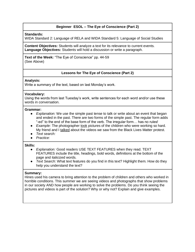# **Beginner ESOL – The Eye of Conscience (Part 2)**

# **Standards:**

WIDA Standard 2: Language of RELA and WIDA Standard 5: Language of Social Studies

**Content Objectives:** Students will analyze a text for its relevance to current events. **Language Objectives:** Students will hold a discussion or write a paragraph.

**Text of the Week:** "The Eye of Conscience" pp. 44-59 (See Above)

# **Lessons for The Eye of Conscience (Part 2)**

#### **Analysis:**

Write a summary of the text, based on last Monday's work.

#### **Vocabulary:**

Using the words from last Tuesday's work, write sentences for each word and/or use these words in conversation.

#### **Grammar:**

- *Explanation:* We use the simple past tense to talk or write about an event that began and ended in the past. There are two forms of the simple past. The regular form adds "-ed" to the end of the base form of the verb. The irregular form… has no rules!
- *Example:* The photographer took pictures of the children who were working so hard. My friend and I talked about the videos we saw from the Black Lives Matter protest.
- *Text search:*
- *Practice:*

#### **Skills:**

- *Explanation:* Good readers USE TEXT FEATURES when they read. TEXT FEATURES include the title, headings, bold words, definitions at the bottom of the page and italicized words.
- *Text Search:* What text features do you find in this text? Highlight them. How do they help you understand the text?

# **Summary:**

Hines used his camera to bring attention to the problem of children and others who worked in horrible conditions. This summer we are seeing videos and photographs that show problems in our society AND how people are working to solve the problems. Do you think seeing the pictures and videos is part of the solution? Why or why not? Explain and give examples.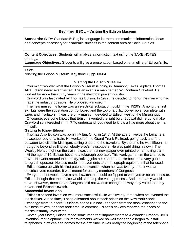# **Beginner ESOL – Visiting the Edison Museum**

**Standards:** WIDA Standard 5: English language learners communicate information, ideas and concepts necessary for academic success in the content area of Social Studies

**Content Objectives:** Students will analyze a non-fiction text using the TAKE NOTES strategy.

**Language Objectives:** Students will give a presentation based on a timeline of Edison's life.

#### **Text:**

"Visiting the Edison Museum" Keystone D, pp. 60-84

#### **Visiting the Edison Museum**

 You might wonder what the Edison Museum is doing in Beamont, Texas, a place Thomas Alva Edison never even visited. The answer is a man named W. Donham Crawford. He worked for more than thirty years in the electrical power industry.

 Crawford was fascinated by Thomas Edison. In 1977, he decided to honor the man who had made the industry possible. He proposed a museum.

 The new museum's home was an electrical substation, build in the 1920's. Among the first exhibits were the substation control board and the top of a utility power pole, complete with wires and insulators. It was the only museum devoted to Edison west of the Mississippi.

 Of course, everyone knows that Edison invented the light bulb. But wat did he do to make Crawford so interested in him? To understand, you need to know a little more about the man himself.

#### **Getting to Know Edison**

 Thomas Alva Edison was born in Milan, Ohio, in 1847. At the age of twelve, he became a newspaper boy on a train. He worked on the Grand Trunk Railroad, going back and forth between two cities in Michigan, selling papers to the travelers. By the time he was fifteen, he had gone beyond selling somebody else's newspapers. He was publishing his own, The Weekly Herald, right on the train. It was the first newspaper ever printed on a moving train.

 At the age of 16, Edison became a telegraph operator. This work game him the chance to travel. He went around the country, taking jobs here and there. He became a very good telegraph operator. He also made improvements to the telegraph equipment that he used.

 Edison came up with his first patented invention when her was twenty-one. It was an electrical vote recorder. It was meant for use by members of Congress.

 Every member would have a small switch that could be flipped to vote yes or no on an issue. Edison thought that the device would speed up the voting process. And it probably would have. However, members of Congress did not want to change the way they voted, so they never used Edison's switch.

#### **Successful Inventions**

 Edison's second invention was more successful. He was twenty-three when he invented the stock ticker. At the time, u people learned about stock prices on the New York Stock Exchange from "runners." Runners had to run back and forth from the stock exchange to the business offices, and that took time. In contrast, Edison's devices reported the prices of stocks instantly, over wires.

 Seven years later, Edison made some important improvements to Alexander Graham Bell's invention, the telephone. His improvements worked so well that people began to install telephones in offices and homes for the first time. It was really the beginning of the telephone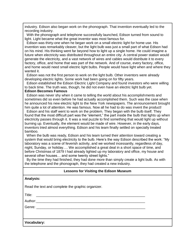industry. Edison also began work on the phonograph. That invention eventually led to the recording industry.

 With the phonograph and telephone successfully launched, Edison turned from sound to light. Light became what the great inventor was most famous for.

 Edison was thirty-one when he began work on a small electric light for home use. His invention was remarkably cleaver, but the light bulb was just a small part of what Edison had on his mind. His thinking went far beyond how to light up a single home. He could imagine a future when electricity was distributed throughout an entire city. A central power station would generate the electricity, and a vast network of wires and cables would distribute it to every factory, office, and home that was part of the network. And of course, every factory, office, and home would need small electric light bulbs. People would have light when and where they wanted it.

 Edison was not the first person to work on the light bulb. Other inventors were already developing electric lights. Some work had been going on for fifty years.

 Edison established the Edison Electric Light Company and found investors who were willing to back time. The truth was, though, he did not even have an electric light bulb yet.

# **Edison Becomes Famous**

 Edison was never shy when it came to telling the world about his accomplishments and sometimes did so even before he had actually accomplished them. Such was the case when he announced his new electric light to the New York newspapers. The announcement brought him quite a lot of attention. He was famous. Now all he had to do was invent the product!

 Edison and his staff went to work on the problem. They began with the bulb itself. They found that the most difficult part was the "element," the part inside the bulb that lights up when electricity passes through it. It was a real puzzle to find something that would light up without burning up. Eventually, the element would be made of wire. However, in the early days, inventors tried almost everything. Edison and his team finally settled on specially treated bamboo.

 When the bulb was ready, Edison and his team turned their attention toward creating a system that would bring electricity to the bulb. Here's the way Edison described the work: "My laboratory was a scene of feverish activity, and we worked incessantly, regardless of day, night, Sunday, or holiday…. We accomplished a great deal in a short space of time, and before Christmas of 1879 I had already lighted up my laboratory and office, my house and several other houses… and some twenty street lights."

 By the time they had finished, they had done more than simply create a light bulb. As with the telephone and the phonograph, they had created a new industry.

#### **Lessons for Visiting the Edison Museum**

| <b>Analysis:</b>                                  |  |
|---------------------------------------------------|--|
| Read the text and complete the graphic organizer. |  |
|                                                   |  |
|                                                   |  |
|                                                   |  |
|                                                   |  |
| <b>Vocabulary:</b>                                |  |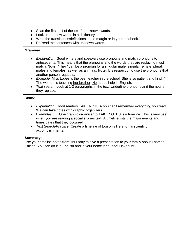- Scan the first half of the text for unknown words.
- Look up the new words in a dictionary.
- Write the translations/definitions in the margin or in your notebook.
- Re-read the sentences with unknown words.

# **Grammar:**

- *Explanation:* Good writers and speakers use pronouns and match pronouns to antecedents. This means that the pronouns and the words they are replacing must match. **Note:** "They" can be a pronoun for a singular male, singular female, plural males and females, as well as animals. **Note:** It is respectful to use the pronouns that another person requests.
- *Example:* Miss Lopes is the best teacher in the school. She is so patient and kind. / The woman is teaching her brother. He needs help in English.
- *Text search:* Look at 1-3 paragraphs in the text. Underline pronouns and the nouns they replace.

# **Skills:**

- *Explanation:* Good readers TAKE NOTES- you can't remember everything you read! We can take notes with graphic organizers.
- E*xamples:* One graphic organizer to TAKE NOTES is a timeline. This is very useful when you are reading a social studies text. A timeline lists the major events and times/dates that they occurred
- *Text Search/Practice:* Create a timeline of Edison's life and his scientific accomplishments.

# **Summary:**

Use your timeline notes from Thursday to give a presentation to your family about Thomas Edison. You can do it in English and in your home language! Have fun!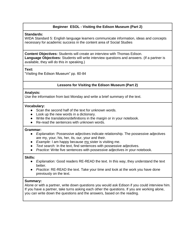# **Beginner ESOL - Visiting the Edison Museum (Part 2)**

# **Standards:**

WIDA Standard 5: English language learners communicate information, ideas and concepts necessary for academic success in the content area of Social Studies

**Content Objectives:** Students will create an interview with Thomas Edison. **Language Objectives:** Students will write interview questions and answers. (If a partner is available, they will do this in speaking.)

#### **Text:**

"Visiting the Edison Museum" pp. 60-84

# **Lessons for Visiting the Edison Museum (Part 2)**

#### **Analysis:**

Use the information from last Monday and write a brief summary of the text.

#### **Vocabulary:**

- Scan the second half of the text for unknown words.
- Look up the new words in a dictionary.
- Write the translations/definitions in the margin or in your notebook.
- Re-read the sentences with unknown words.

#### **Grammar:**

- *Explanation:* Possessive adjectives indicate relationship. The possessive adjectives are my, your, his, her, its, our, your and their.
- *Example:* I am happy because my sister is visiting me.
- *Text search:* In the text, find sentences with possessive adjectives.
- *Practice:* Write five sentences with possessive adjectives in your notebook.

#### **Skills:**

- *Explanation:* Good readers RE-READ the text. In this way, they understand the text better.
- *Practice:* RE-READ the text. Take your time and look at the work you have done previously on the text.

#### **Summary:**

Alone or with a partner, write down questions you would ask Edison if you could interview him. If you have a partner, take turns asking each other the questions. If you are working alone, you can write down the questions and the answers, based on the reading.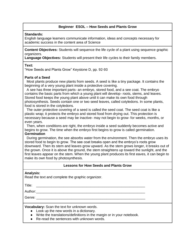# **Beginner ESOL – How Seeds and Plants Grow**

#### **Standards:**

English language learners communicate information, ideas and concepts necessary for academic success in the content area of Science

**Content Objectives:** Students will sequence the life cycle of a plant using sequence graphic organizers.

**Language Objectives:** Students will present their life cycles to their family members.

#### **Text:**

"How Seeds and Plants Grow" Keystone D, pp. 92-93

# **Parts of a Seed**

 Most plants produce new plants from seeds. A seed is like a tiny package. It contains the beginning of a very young plant inside a protective covering.

 A see has three important parts- an embryo, stored food, and a see coat. The embryo contains the basic parts from which a young plant will develop- roots, stems, and leaves. Stored food keeps the young plant above until it can make its own food through photosynthesis. Seeds contain one or two seed leaves, called cotyledons. In some plants, food is stored in the cotyledons.

 The outer protective covering of a seed is called the seed coat. The seed coat is like a plastic wrap; it protects the embryo and stored food from drying out. This protection is necessary because a seed may be inactive- may not begin to grow- for weeks, months, or even years.

 Then, when conditions are right, the embryo inside a seed suddenly becomes active and begins to grow. The time when the embryo first begins to grow is called germination. **Germination**

 During germination, the see absorbs water from the environment. Then the embryo uses its stored food to begin to grow. The see coat breaks open and the embryo's roots grow downward. Then its stem and leaves grow upward. As the stem grows longer, it breaks out of the grown. Once it is above the ground, the stem straightens up toward the sunlight, and the first leaves appear on the stem. When the young plant produces its first eaves, it can begin to make its own food by photosynthesis.

# **Lessons for How Seeds and Plants Grow**

# **Analysis:**

Read the text and complete the graphic organizer.

Title: \_\_\_\_\_\_\_\_\_\_\_\_\_\_\_\_\_\_\_\_\_\_\_\_\_\_\_\_\_\_\_\_\_\_\_\_\_\_\_\_\_\_\_\_\_\_\_\_\_\_\_\_\_\_\_\_

Author:

Genre: \_\_\_\_\_\_\_\_\_\_\_\_\_\_\_\_\_\_\_\_\_\_\_\_\_\_\_\_\_\_\_\_\_\_\_\_\_\_\_\_\_\_\_\_\_\_\_\_\_\_\_\_\_\_\_\_

**Vocabulary:** Scan the text for unknown words.

- Look up the new words in a dictionary.
- Write the translations/definitions in the margin or in your notebook.
- Re-read the sentences with unknown words.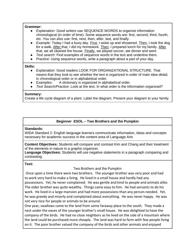# **Grammar:**

- *Explanation:* Good writers use SEQUENCE WORDS to organize information chronological (in order of time). Some sequence words are: first, second, third, fourth, etc. You can also use: first, next, then, after, last, and finally.
- *Example:* Today I had a busy day. First, I woke up and showered. Then, I took the dog for a walk. After that, I did my homework. Then, I prepared lunch for my family. After that, we all cleaned the house. Finally, we played soccer, ate dinner and went
- *Text search:* Find examples of sequence words in the text and underline them.
- *Practice:* Using sequence words, write a paragraph about a part of your day.

# **Skills:**

- *Explanation:* Good readers LOOK FOR ORGANIZATIONAL STRUCTURE. That means that they look to see whether the text is organized in order of main idea-detail, in chronological order or in alphabetical order.<br>• Examples: A dictionary is organized in alph
- A dictionary is organized in alphabetical order.
- *Text Search/Practice:* Look at the text. In what order is the information organized?

# **Summary:**

Create a life cycle diagram of a plant. Label the diagram. Present your diagram to your family.

# **Beginner ESOL – Two Brothers and the Pumpkin**

# **Standards:**

WIDA Standard 2: English language learners communicate information, ideas and concepts necessary for academic success in the content area of Language Arts

**Content Objectives:** Students will compare and contrast Kim and Chang and their treatment of the elements in nature in a graphic organizer.

**Language Objectives:** Students will use negative statements in a paragraph comparing and contrasting.

# **Text:**

# Two Brothers and the Pumpkin

Once upon a time there were two brothers. The younger brother was very poor and had to work very hard to make a living. He lived in a small house and hardly had any possessions. Yet, he never complained. He was gentle and kind to people and animals alike. The older brother was quite wealthy. Things came easy to him. He had servants to do his work. He lived in a large mansion and had more possessions than any person needed. Yet, he was greedy and miserly and complained about everything. He was never happy. He was not very nice for people or animals to be around.

One year, swallows came to the land from some faraway place to the south. They made a nest under the eaves of the younger brother's small house. He was delighted to have the company of the birds. He had no close neighbors as he lived on the side of a mountain where the land could be purchased more cheaply. The land was hard to farm with few people living on it. The poor brother valued the company of the birds and other animals and enjoyed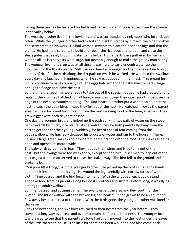having them near as he terraced his fields and carried water long distances from the stream in the valley below.

The wealthy brother lived in the lowlands and was surrounded by neighbors who he criticized often. While the younger brother had to toil and plant his crops by himself, the older brother had servants to do his work. He had women servants to plant the rice seedlings and thin the plants. He had male servants to build and repair the rice beds and to open and close the sluice gates that easily brought water to his fields. His harvests were gathered by men and women alike. His harvests were large, but never big enough to make the greedy man happy. The younger brother's crop was small since it was hard to carry enough water up the mountain for the thirsty plants. Still, the kind hearted younger brother made certain to drop kernels of rice for the birds along the dirt path on which he walked. He watched the swallows every day and laughed in happiness when he saw eggs appear in their nest. This meant he would continue to have company until the eggs hatched and the baby swallows grew large enough to fledge and leave the nest.

By the time the seedlings were ready to take out of the special hot bed he had created and to replant, the eggs had hatched. Small hungry swallows poked their open mouths just over the edge of the nest, constantly peeping. The kind-hearted brother put a wide board under the nest to catch the baby birds in case they fell out of the nest. He watched in joy as the parent swallows flew back and forth to and from the nest carrying food to the hungry babies. They grew bigger with each day that passed.

One day the younger brother climbed up the path carrying two pails of water up the steep path towards his thirsty rice plants. As he walked, he saw both parents fly away from the nest to get food for their young. Suddenly, he heard cries of fear coming from the baby swallows. He hurriedly dropped his buckets of water and ran to the house. There, he saw a large green snake drop down from a tree branch onto the roof. The snake raised its head and opened its mouth wide.

The baby birds screamed in fear! They flapped their wings and tried to fly out of the nest. But their wings were too weak to fly, except for one bird. It seemed to leap out of the nest as just as the man arrived to chase the snake away. The bird fell to the ground and broke its leg.

"You poor little thing," said the younger brother. He picked up the bird in his caring hands and took it inside to mend its leg. He wound the leg carefully with narrow strips of white cloth. Time passed, and the bird began to mend. With the wrapped leg, it could stand and take food from its parents along beside its brothers and sisters. Before long, it was flying among the adult swallows.

Summer passed, and autumn came. The swallows left the area and flew south for the winter. The little swallow with the broken leg had healed. It had grown to be an adult and flew away beside the rest of the flock. With the birds gone, the younger brother was lonelier than ever.

Early the next spring, the swallows returned to their nests from the year before. They traveled a long way over seas and over mountains to find their old nest. The younger brother was pleased to see that the parent swallows had again moved into the nest under the eaves of the little thatched house. The little bird that had been wounded had also come back.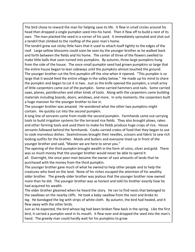The bird chose to reward the man for helping save its life. It flew in small circles around his head then dropped a single pumpkin seed into his hand. Then it flew off to build a nest of its own. The man planted the seed in a corner of his yard. It immediately sprouted and shot out a tendril that climbed to the rooftop of the poor man's home.

The tendril grew out sticky little hairs that it used to attach itself tightly to the edges of the roof. Large yellow blossoms could soon be seen by the younger brother as he walked back and forth between the fields and his home. The center of three of the flowers swelled to make little balls that soon turned into pumpkins. By autumn, three large pumpkins hung from the side of the house. The once small pumpkin seed had grown pumpkins so large that the entire house began to lean sideways until the pumpkins almost touched the ground. The younger brother cut the first pumpkin off the vine when it ripened. "This pumpkin is so large that it would feed the entire village in the valley below." He made up his mind to share the pumpkin and began to cut it in two. Just as the knife opened the pumpkin, a small army of little carpenters came out of the pumpkin. Some carried hammers and nails. Some carried saws, planes, paintbrushes and other kinds of tools. Along with the carpenters came building materials including boards, doors, windows, and more. In only moments, the carpenters built a huge mansion for the younger brother to live in.

The younger brother was amazed. He wondered what the other two pumpkins might contain. He quickly cut into the second pumpkin.

A long line of servants came from inside the second pumpkin. Farmhands came out carrying tools to build irrigation systems for the terraced rice fields. They also brought plows, rakes and other farming tools and used them to make his fields produce huge crops of rice. House servants followed behind the farmhands. Cooks carried crates of food that they began to use to cook marvelous dishes. Seamstresses brought their needles, scissors and fabric to sew rich looking outfits for the brother. Maids and butlers and everyone lined up in front of the younger brother and said, "Master we are here to serve you."

The opening of the third pumpkin brought wealth in the form of coins, silver and gold. There was so much money that the younger brother would never be able to spend it all. Overnight, the once poor man became the owner of vast amounts of lands that he purchased with the money from the third pumpkin.

The younger brother gave much of what he owned to help other people and to help the creatures who lived on the land. None of his riches escaped the attention of his wealthy older brother. The greedy older brother was jealous that the younger brother now owned more than he did. The younger brother was as honest and told his brother exactly how he had acquired his wealth.

The older brother gleamed when he heard the story. He ran to find nests that belonged to the swallows on the nearby cliffs. He took a baby swallow from the nest and broke its leg. He bandaged the leg with strips of white cloth. By autumn, the bird had healed, and it flew away with the other birds.

Just as he expected, the bird whose leg had been broken flew back in the spring. Like the first bird, it carried a pumpkin seed in its mouth. It flew over and dropped the seed into the man's hand. The greedy man could hardly wait for his pumpkins to grow.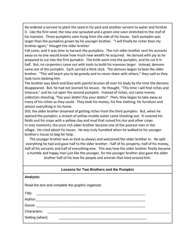He ordered a servant to plant the seed in his yard and another servant to water and fertilize it. Like the first seed, the new one sprouted and a green vine soon stretched to the roof of his mansion. Three pumpkins soon hung from the side of his house. Each pumpkin was larger than the pumpkins grown by his younger brother. "I will finally be richer than my brother again," thought the older brother.

Fall came, and it was time to harvest the pumpkins. The rich older brother sent his servants away so no one would know how much new wealth he acquired. He danced with joy as he prepared to cut into the first pumpkin. The knife went into the pumpkin, and he cut it in half. But, no carpenters came out with tools to build his mansion larger. Instead, demons came out of the pumpkin. Each carried a thick stick. The demons began to beat the older brother. "This will teach you to be greedy and to never share with others," they said as they took turns beating him.

The brother was black and blue with painful bruises all over his body by the time the demons disappeared. But, he had not learned his lesson. He thought, "This time I will find riches and treasure," and he cut open the second pumpkin. Instead of riches, out came money collectors shouting, "Pay your debts! Pay your debts!" Then, they began to take away as many of his riches as they could. They took his money, his fine clothing, his furniture and almost everything in his home.

Still, the older brother dreamed of getting riches from the third pumpkin. But, when he opened the pumpkin, a stream of yellow muddy water came shooting out. It covered his fields and his crops with a yellow clay and mud that ruined his rice and other crops. In only moments, the once rich older brother became one of the poorest men in the village. He cried about his losses. He was truly humbled when he walked to his younger brother's house to beg for help.

The younger brother was as kind as always and welcomed the older brother in. He split everything he had and gave half to the older brother - half of his property, half of his money, half of his servants and half of everything else. This was how the older brother finally became a humble and happy man just like the younger, for the younger brother also gave the older brother half of his love for people and animals that lived around him.

# **Lessons for Two Brothers and the Pumpkin**

# **Analysis:**

Read the text and complete the graphic organizer.

Title: \_\_\_\_\_\_\_\_\_\_\_\_\_\_\_\_\_\_\_\_\_\_\_\_\_\_\_\_\_\_\_\_\_\_\_\_\_\_\_\_\_\_\_\_\_\_\_\_\_\_\_\_\_\_\_\_ Author: Genre: \_\_\_\_\_\_\_\_\_\_\_\_\_\_\_\_\_\_\_\_\_\_\_\_\_\_\_\_\_\_\_\_\_\_\_\_\_\_\_\_\_\_\_\_\_\_\_\_\_\_\_\_\_\_\_\_ Characters: Setting (when):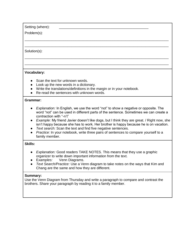| Setting (where):                                                                                                                                                                                                                                                                                                                                                                                                                                                                                                                                                                  |  |
|-----------------------------------------------------------------------------------------------------------------------------------------------------------------------------------------------------------------------------------------------------------------------------------------------------------------------------------------------------------------------------------------------------------------------------------------------------------------------------------------------------------------------------------------------------------------------------------|--|
| Problem(s):                                                                                                                                                                                                                                                                                                                                                                                                                                                                                                                                                                       |  |
|                                                                                                                                                                                                                                                                                                                                                                                                                                                                                                                                                                                   |  |
|                                                                                                                                                                                                                                                                                                                                                                                                                                                                                                                                                                                   |  |
| Solution(s):                                                                                                                                                                                                                                                                                                                                                                                                                                                                                                                                                                      |  |
|                                                                                                                                                                                                                                                                                                                                                                                                                                                                                                                                                                                   |  |
|                                                                                                                                                                                                                                                                                                                                                                                                                                                                                                                                                                                   |  |
|                                                                                                                                                                                                                                                                                                                                                                                                                                                                                                                                                                                   |  |
| <b>Vocabulary:</b>                                                                                                                                                                                                                                                                                                                                                                                                                                                                                                                                                                |  |
| Scan the text for unknown words.                                                                                                                                                                                                                                                                                                                                                                                                                                                                                                                                                  |  |
| Look up the new words in a dictionary.                                                                                                                                                                                                                                                                                                                                                                                                                                                                                                                                            |  |
| Write the translations/definitions in the margin or in your notebook.                                                                                                                                                                                                                                                                                                                                                                                                                                                                                                             |  |
| Re-read the sentences with unknown words.                                                                                                                                                                                                                                                                                                                                                                                                                                                                                                                                         |  |
| Grammar:                                                                                                                                                                                                                                                                                                                                                                                                                                                                                                                                                                          |  |
| <i>Explanation:</i> In English, we use the word "not" to show a negative or opposite. The<br>word "not" can be used in different parts of the sentence. Sometimes we can create a<br>contraction with "-n't"<br>Example: My friend Javier doesn't like dogs, but I think they are great. / Right now, she<br>isn't happy because she has to work. Her brother is happy because he is on vacation.<br>Text search: Scan the text and find five negative sentences.<br><i>Practice:</i> In your notebook, write three pairs of sentences to compare yourself to a<br>family member. |  |
| <b>Skills:</b>                                                                                                                                                                                                                                                                                                                                                                                                                                                                                                                                                                    |  |
| Explanation: Good readers TAKE NOTES. This means that they use a graphic<br>$\bullet$<br>organizer to write down important information from the text.<br>Examples:<br>Venn Diagrams.<br>Text Search/Practice: Use a Venn diagram to take notes on the ways that Kim and<br>Chang are the same and how they are different.                                                                                                                                                                                                                                                         |  |
| Summary:<br>Use the Venn Diagram from Thursday and write a paragraph to compare and contrast the<br>brothers. Share your paragraph by reading it to a family member.                                                                                                                                                                                                                                                                                                                                                                                                              |  |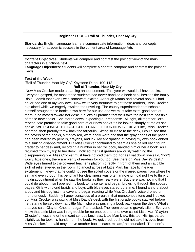# **Beginner ESOL – Roll of Thunder, Hear My Cry**

**Standards:** English language learners communicate information, ideas and concepts necessary for academic success in the content area of Language Arts

**Content Objectives:** Students will compare and contrast the point of view of the main characters in a fictional text.

**Language Objectives:** Students will complete a chart to compare and contrast the point of views.

#### **Text of the Week:**

"Roll of Thunder, Hear My Cry" Keystone D, pp. 100-113

#### **Roll of Thunder, Hear My Cry**

Now Miss Crocker made a startling announcement: 'This year we would all have books. Everyone gasped, for most of the students had never handled a book at all besides the family Bible. I admit that even I was somewhat excited. Although Mama had several books. I had never had one of my very own. 'Now we're very fortunate to get these readers,' Miss Crocker explained while we eagerly awaited the unveiling. The county superintendent of schools himself brought these books down here for our use and we must take extra-good care of them.' She moved toward her desk. 'So let's all promise that we'll take the best care possible of these new books.' She stared down, expecting our response. 'All right, all together, let's repeat, "We promise to take good care of our new books."' She looked sharply at me as she spoke. 'WE PROMISE TO TAKE GOOD CARE OF OUR NEW BOOKS!' 'Fine,' Miss Crocker beamed, then proudly threw back the tarpaulin. Sitting so close to the desk, I could see that the covers of the books, a motley red, were badly worn and that the gray edges of the pages had been marred by pencils, crayons, and ink. My anticipation at having my own book ebbed to a sinking disappointment. But Miss Crocker continued to beam as she called each fourth grader to her desk and, recording a number in her roll book, handed him or her a book. As I returned from my trip to her desk, I noticed the first graders anxiously watching the disappearing pile. Miss Crocker must have noticed them too, for as I sat down she said, 'Don't worry, little ones, there are plenty of readers for you too. See there on Miss Davis's desk.' Wide eyes turned to the covered teacher's platform directly in front of them and an audible sigh of relief swelled in the room. I glanced across at Little Man, his face lit in eager excitement. I knew that he could not see the soiled covers or the marred pages from where he sat, and even though his penchant for cleanliness was often annoying, I did not like to think of his disappointment when he saw the books as they really were. But there was nothing that I could do about it, so I opened my book to its center and began browsing through the spotted pages. Girls with blond braids and boys with blue eyes stared up at me. I found a story about a boy and his dog lost in a cave and began reading while Miss Crocker's voice droned on monotonously. Suddenly I grew conscious of a break in that monotonous tone and I looked up. Miss Crocker was sitting at Miss Davis's desk with the first-grade books stacked before her, staring fiercely down at Little Man, who was pushing a book back upon the desk. 'What's that you said, Clayton Chester Logan !' she asked. The room became gravely silent. Everyone knew that Little Man was in big trouble for no one, but no one, ever called Little Man 'Clayton Chester' unless she or he meant serious business. Little Man knew this too. His lips parted slightly as he took his hands from the book. He quivered, but he did not take his eyes from Miss Crocker.'I –I said may I have another book please, ma'am,' he squeaked. 'That one's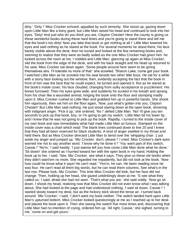dirty.' 'Dirty !' Miss Crocker echoed, appalled by such temerity. She stood up, gazing down upon Little Man like a bony giant, but Little Man raised his head and continued to look into her eyes. 'Dirty! And just who do you think you are, Clayton Chester! Here the county is giving us these wonderful books during these hard times and you're going to stand there and tell me that the book's too dirty! Now you take that book or get nothing at all I' Little Man lowered his eyes and said nothing as he stared at the book, For several moments he stood there, his face barely visible above the desk, then he turned and looked at the few remaining books and, seeming to realize that they were as badly soiled as the one Miss Crocker had given him. he looked across the room at me. I nodded and Little Man, glancing up again at Miss Crocker, slid the book from the edge of the desk, and with his back straight and his head up returned to his seat. Miss Crocker sat down again. 'Some people around here seem to be giving themselves airs. I'll tolerate no more of that.' she scowled. 'Sharon Lake, come get your book. I watched Little Man as he scooted into his seat beside two other little boys. He sat for a while with a stony face looking out the window; then, evidently accepting the fact that the book in front of him was the best that he could expect, he turned and opened it. Rut as he stared at the book's inside cover, his face clouded, changing from sulky acceptance to puzzlement. His brews furrowed. Then his eyes grew wide, and suddenly he sucked in his breath and sprang from his chair like a wounded animal, hinging the book onto the floor and stomping madly upon it. Miss Crocker rushed to Little Man and grabbed him up in powerful hands. She shook him vigorously, then set him on the floor again, 'Now, just what's gotten into you, Clayton Chester!' But Little Man said nothing. He just stood staring down at the open book, shivering with indignant anger. 'Pick it up,' she ordered. 'No !' defied Little Man. 'No! I'll give you ten seconds to pick up that book, boy. or I'm going to get my switch.' Little Man bit his lower lip, and I knew that he was not going to pick up the book. Rapidly, I turned to the inside cover of my own book and saw immediately what had made Little Man so furious. Stamped on the inside cover was a chart which read: The blank lines continued down to line 20 and I knew that they had all been reserved for black students. A knot of anger swelled in my throat and held there. But as Miss Crocker directed Little Man to bend over the 'whipping chair. 1 put aside my anger and jumped up. 'Miz Crocker. don't, please !' I cried. Miss Crocker's dark eyes warned me not to say another word. 'I know why he done it !' 'You want part of this switch, Cassie !' 'No'm,' I said hastily. 'I just wanna tell you how come Little Man done what he done.' 'Sit down!' she ordered as I hurried toward her with the open book in my hand, Holding the book up to her. I said. 'See, Miz Crocker, see what it says. They give us these ole books when they didn't want'em no more. She regarded me impatiently, but did not look at the book. 'Now how could he know what it says! He can't read.' 'Yes'm, he can. He been reading since he was four. He can't read all them big words, but he can read them columns. See what's in the last row. Please look, Miz Crocker. This time Miss Crocker did look, but her face did not change. Then, holding up her head, she gazed unblinkingly down at me. 'S-see what they called us,' I said, afraid she had not seen. 'That's what you are.' she said coldly. 'Now go sit down. I shook my head, realizing now that Miss Crocker did not even know what I was talking about, She had looked at the page and had understood nothing, 'I said sit down. Cassie !' I started slowly toward my desk, but as the hickory stick sliced the tense air. I turned back around. 'Miz Crocker,' I said, 'I don't want my book neither. The switch landed hard upon Little Man's upturned bottom. Miss Crocker looked questioningly at me as I reached up to her desk and placed the book upon it. Then she swung the switch five more times and, discovering that Little Man had no intention of crying, ordered him up. 'All right, Cassie,' she sighed, turning to me, 'come on and get yours.'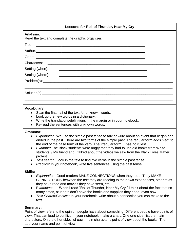| Lessons for Roll of Thunder, Hear My Cry                                                                                                                                                                                                                                                                                                                                                                                                                                                                                                                                                                                                                |
|---------------------------------------------------------------------------------------------------------------------------------------------------------------------------------------------------------------------------------------------------------------------------------------------------------------------------------------------------------------------------------------------------------------------------------------------------------------------------------------------------------------------------------------------------------------------------------------------------------------------------------------------------------|
| <b>Analysis:</b><br>Read the text and complete the graphic organizer.                                                                                                                                                                                                                                                                                                                                                                                                                                                                                                                                                                                   |
| Title:<br><u> 1980 - Antonio Alemania, presidente de la contrada de la contrada de la contrada de la contrada de la contrad</u>                                                                                                                                                                                                                                                                                                                                                                                                                                                                                                                         |
|                                                                                                                                                                                                                                                                                                                                                                                                                                                                                                                                                                                                                                                         |
|                                                                                                                                                                                                                                                                                                                                                                                                                                                                                                                                                                                                                                                         |
| Characters:                                                                                                                                                                                                                                                                                                                                                                                                                                                                                                                                                                                                                                             |
| Setting (when):                                                                                                                                                                                                                                                                                                                                                                                                                                                                                                                                                                                                                                         |
| Setting (where):                                                                                                                                                                                                                                                                                                                                                                                                                                                                                                                                                                                                                                        |
|                                                                                                                                                                                                                                                                                                                                                                                                                                                                                                                                                                                                                                                         |
| <u> 1989 - Johann Harry Harry Harry Harry Harry Harry Harry Harry Harry Harry Harry Harry Harry Harry Harry Harry</u>                                                                                                                                                                                                                                                                                                                                                                                                                                                                                                                                   |
| <b>Vocabulary:</b><br>Scan the first half of the text for unknown words.<br>Look up the new words in a dictionary.<br>Write the translations/definitions in the margin or in your notebook.<br>Re-read the sentences with unknown words.                                                                                                                                                                                                                                                                                                                                                                                                                |
| Grammar:<br>Explanation: We use the simple past tense to talk or write about an event that began and<br>$\bullet$<br>ended in the past. There are two forms of the simple past. The regular form adds "-ed" to<br>the end of the base form of the verb. The irregular form has no rules!<br>Example: The Black students were angry that they had to use old books from White<br>$\bullet$<br>students. / My friend and I talked about the videos we saw from the Black Lives Matter<br>protest.<br>Text search: Look in the text to find five verbs in the simple past tense.<br>Practice: In your notebook, write five sentences using the past tense. |
| Skills:<br><b>Explanation: Good readers MAKE CONNECTIONS when they read. They MAKE</b><br>$\bullet$<br>CONNECTIONS between the text they are reading to their own experiences, other texts<br>they have read and movies they have seen, etc.<br>When I read "Roll of Thunder, Hear My Cry," I think about the fact that so<br>Examples:<br>many times, students don't have the books and supplies they need, even now.<br>Text Search/Practice: In your notebook, write about a connection you can make to the<br>text.                                                                                                                                 |
| Summary:<br>Point of view refers to the opinion people have about something. Different people have points of<br>view. That can lead to conflict. In your notebook, make a chart. One one side, list the main<br>characters. On the other side, list each main character's point of view about the books. Then,                                                                                                                                                                                                                                                                                                                                          |

add your name and point of view.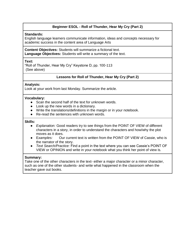# **Beginner ESOL - Roll of Thunder, Hear My Cry (Part 2)**

# **Standards:**

English language learners communicate information, ideas and concepts necessary for academic success in the content area of Language Arts

**Content Objectives:** Students will summarize a fictional text. **Language Objectives:** Students will write a summary of the text.

#### **Text:**

"Roll of Thunder, Hear My Cry" Keystone D, pp. 100-113 (See above)

# **Lessons for Roll of Thunder, Hear My Cry (Part 2)**

#### **Analysis:**

Look at your work from last Monday. Summarize the article.

#### **Vocabulary:**

- Scan the second half of the text for unknown words.
- Look up the new words in a dictionary.
- Write the translations/definitions in the margin or in your notebook.
- Re-read the sentences with unknown words.

#### **Skills:**

- *Explanation:* Good readers try to see things from the POINT OF VIEW of different characters in a story, in order to understand the characters and how/why the plot moves as it does.
- E*xamples:* Our current text is written from the POINT OF VIEW of Cassie, who is the narrator of the story.
- *Text Search/Practice:* Find a point in the text where you can see Cassie's POINT OF VIEW or OPINION and write in your notebook what you think her point of view is.

#### **Summary:**

Take one of the other characters in the text- either a major character or a minor character, such as one of the other students- and write what happened in the classroom when the teacher gave out books.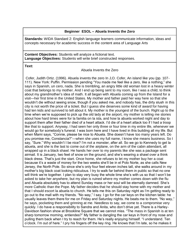# **Beginner ESOL – Abuela Invents the Zero**

**Standards:** WIDA Standard 2: English language learners communicate information, ideas and concepts necessary for academic success in the content area of Language Arts

**Content Objectives:** Students will analyze a fictional text. **Language Objectives:** Students will write brief constructed responses.

#### **Text:**

# Abuela Invents the Zero

Cofer, Judith Ortiz. (1996). Abuela invents the zero In J,O. Cofer, An island like you (pp. 107- 111). New York: Puffin. Permission pending "You made me feel like a zero, like a nothing," she says in Spanish, un cero, nada. She is trembling, an angry little old woman lost in a heavy winter coat that belongs to my mother. And I end up being sent to my room, like I was a child, to think about my grandmother's idea of math. It all began with Abuela coming up from the Island for a visit—her first time in the United States. My mother and father paid her way here so that she wouldn't die without seeing snow, though if you asked me, and nobody has, the dirty slush in this city is not worth the price of a ticket. But I guess she deserves some kind of award for having had ten kids and survived to tell about it. My mother is the youngest of the bunch. Right up to the time when we're supposed to pick up the old lady at the airport, my mother is telling me stories about how hard times were for la familia on la isla, and how la abuela worked night and day to support them after their father died of a heart attack. I'd die of a heart attack too if I had a troop like that to support. Anyway, I had seen her only three or four time in my entire life, whenever we would go for somebody's funeral. I was born here and I have lived in this building all my life. But when Mami says, "Connie, please be nice to Abuela. She doesn't have too many years left. Do you promise me, Constancia?"—when she uses my full name, I know she means business. So I say, "Sure." Why wouldn't I be nice? I'm not a monster, after all. So we go to Kennedy to get la abuela, and she is the last to come out of the airplane, on the arm of the cabin attendant, all wrapped up in a black shawl. He hands her over to my parents like she was a package sent airmail. It is January, two feet of snow on the ground, and she's wearing a shawl over a think black dress. That's just the start. Once home, she refuses to let my mother buy her a coat because it's a waste of money for the two weeks she'll be in el Polo Norte, as she calls New Jersey, the North Pole. So since she's only four feet eleven inches tall, she walks around in my mother's big black coat looking ridiculous. I try to walk far behind them in public so that no one will think we're together. I plan to stay very busy the whole time she's with us so that I won't be asked to take her anywhere, but my plan is ruined where my mother comes down with the flu and Abuela absolutely has to attend Sunday mass or her soul will be eternally damned. She's more Catholic than the Pope. My father decides that he should stay home with my mother and that I should escort la abuela to church. He tells me this on Saturday night as I'm getting ready to go out to the mall with my friends. "No way," I say. I go for the car keys on the kitchen table: he usually leaves them there for me on Friday and Saturday nights. He beats me to them. "No way," he says, pocketing them and grinning at me. Needless to say, we come to a compromise very quickly. I do have a responsibility to Sandra and Anita, who don't drive yet. There is a Harley-Davidson fashion show at Brookline Square that we cannot miss. "The mass in Spanish is at ten sharp tomorrow morning, entiendes?" My father is dangling the car keys in front of my nose and pulling them back when I try to reach for them. He's really enjoying himself. "I understand. Ten o'clock. I'm out of here." I pry his fingers off the key ring. He knows that I'm late, so he makes it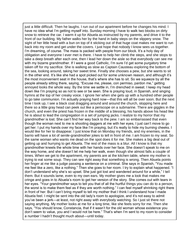just a little difficult. Then he laughs. I run out of our apartment before he changes his mind. I have no idea what I'm getting myself into. Sunday morning I have to walk two blocks on dirty snow to retrieve the car. I warm it up for Abuela as instructed by my parents, and drive it to the front of our building. My father walks her by the hand in baby steps on the slippery snow. The sight of her little head with a bun on top of it sticking out of that huge coat makes me want to run back into my room and get under the covers. I just hope that nobody I know sees us together. I'm dreaming, of course. The mass is packed with people from our block. It's a holy day of obligation and everyone I ever met is there. I have to help her climb the steps, and she stops to take a deep breath after each one, then I lead her down the aisle so that everybody can see me with my bizarre grandmother. If I were a good Catholic, I'm sure I'd get some purgatory time taken off for my sacrifice. She is walking as slow as Captain Causteau exploring the bottom of the sea, looking around, taking her sweet time. Finally she chooses a pew, but she wants to sit in the other end. It's like she had a spot picked out for some unknown reason, and although it's the most inconvenient seat in the house, that's where she has to sit. So we squeeze by all the people already sitting there, saying, "Excuse me, please, con permiso, pardon me," getting annoyed looks the whole way. By the time we settle in, I'm drenched in sweat. I keep my head down like I'm praying so as not to see or be seen. She is praying loud, in Spanish, and singing hymns at the top of her creaky voice. I ignore her when she gets up with a hundred other people to go take communion. I'm actually praying hard now—that this will all be over soon. But the next time I look up, I see a black coat dragging around and around the church, stopping here and there so a little gray head can peek out like a periscope on a submarine. There are giggles in the church, and even the priest has frozen in the middle of a blessing, his hands above his head like he is about to lead the congregation in a set of jumping jacks. I realize to my horror that my grandmother is lost. She can't find her way back to the pew. I am so embarrassed that even though the woman next to me is shooting daggers at me with her eyes, I just can't move to go get her. I put my hands over my face like I'm praying, but it's really to hide my burning cheeks. I would like for her to disappear. I just know that on Monday my friends, and my enemies, in the barrio will have a lot of senile-grandmother jokes to tell in front of me. I am frozen to my seat. So the same woman who wants me dead on the spot does it for me. She makes a big deal out of getting up and hurrying to get Abuela. The rest of the mass is a blur. All I know is that my grandmother kneels the whole time with her hands over her face. She doesn't speak to me on the way home, and she doesn't let me help her walk, even though she almost falls a couple of times. When we get to the apartment, my parents are at the kitchen table, where my mother is trying to eat some soup. They can see right away that something is wrong. Then Abuela points her finger at me like a judge passing a sentence on a criminal. She says in Spanish, "You made me feel like a zero, like a nothing." Then she goes to her room. I try to explain what happened. "I don't understand why she's so upset. She just got lost and wandered around for a while," I tell them. But it sounds lame, even to my own ears. My mother gives me a look that makes me cringe and goes in to Abuela's room to get her version of the story. She comes out with tears in her eyes. "Your grandmother says to tell you that of all the hurtful things you can do to a person, the worst is to make them feel as if they are worth nothing." I can feel myself shrinking right there in front of her. But I can't bring myself to tell my mother that I think I understand how I made Abuela feel. I might be sent into the old lady's room to apologize, and it's not easy to admit you've been a jerk—at least, not right away with everybody watching. So I just sit there not saying anything. My mother looks at me for a long time, like she feels sorry for me. Then she says, "You should know, Constancia, that if it wasn't for the old woman whose existence you don't seem to value, you and I would not be here." That's when I'm sent to my room to consider a number I hadn't thought much about—until today.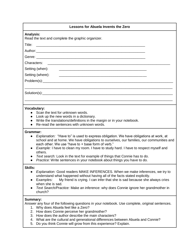| <b>Lessons for Abuela Invents the Zero</b>                                                                                                                                                                                                                                                                                                                                                                                                                                                                                 |
|----------------------------------------------------------------------------------------------------------------------------------------------------------------------------------------------------------------------------------------------------------------------------------------------------------------------------------------------------------------------------------------------------------------------------------------------------------------------------------------------------------------------------|
| <b>Analysis:</b><br>Read the text and complete the graphic organizer.                                                                                                                                                                                                                                                                                                                                                                                                                                                      |
| Title:<br><u> 1980 - John Stone, marking am deur de Berlin (d. 1980)</u>                                                                                                                                                                                                                                                                                                                                                                                                                                                   |
|                                                                                                                                                                                                                                                                                                                                                                                                                                                                                                                            |
|                                                                                                                                                                                                                                                                                                                                                                                                                                                                                                                            |
| Characters:                                                                                                                                                                                                                                                                                                                                                                                                                                                                                                                |
| Setting (when):<br><u> 1989 - Johann Stein, marwolaethau a bhann an t-Amhainn an t-Amhainn an t-Amhainn an t-Amhainn an t-Amhainn a</u>                                                                                                                                                                                                                                                                                                                                                                                    |
| Setting (where):                                                                                                                                                                                                                                                                                                                                                                                                                                                                                                           |
|                                                                                                                                                                                                                                                                                                                                                                                                                                                                                                                            |
|                                                                                                                                                                                                                                                                                                                                                                                                                                                                                                                            |
| <b>Vocabulary:</b><br>Scan the text for unknown words.<br>Look up the new words in a dictionary.<br>Write the translations/definitions in the margin or in your notebook.<br>Re-read the sentences with unknown words.                                                                                                                                                                                                                                                                                                     |
| Grammar:<br>Explanation: "Have to" is used to express obligation. We have obligations at work, at<br>$\bullet$<br>school and at home. We have obligations to ourselves, our families, our communities and<br>each other. We use "have to + base form of verb."<br>Example: I have to clean my room. I have to study hard. I have to respect myself and<br>others.<br>Text search: Look in the text for example of things that Connie has to do.<br>Practice: Write sentences in your notebook about things you have to do. |
| Skills:<br><b>Explanation: Good readers MAKE INFERENCES. When we make inferences, we try to</b><br>understand what happened without having all of the facts stated explicitly.<br>My friend is crying. I can infer that she is sad because she always cries<br>Examples:<br>when she is sad.<br>Text Search/Practice: Make an inference: why does Connie ignore her grandmother in<br>church?                                                                                                                              |
| Summary:<br>Answer any four of the following questions in your notebook. Use complete, original sentences.<br>1. Why does Abuela feel like a Zero?<br>2. How does Connie perceive her grandmother?<br>3. How does the author describe the main characters?<br>4. What are the cultural and generational differences between Abuela and Connie?<br>5. Do you think Connie will grow from this experience? Explain.                                                                                                          |